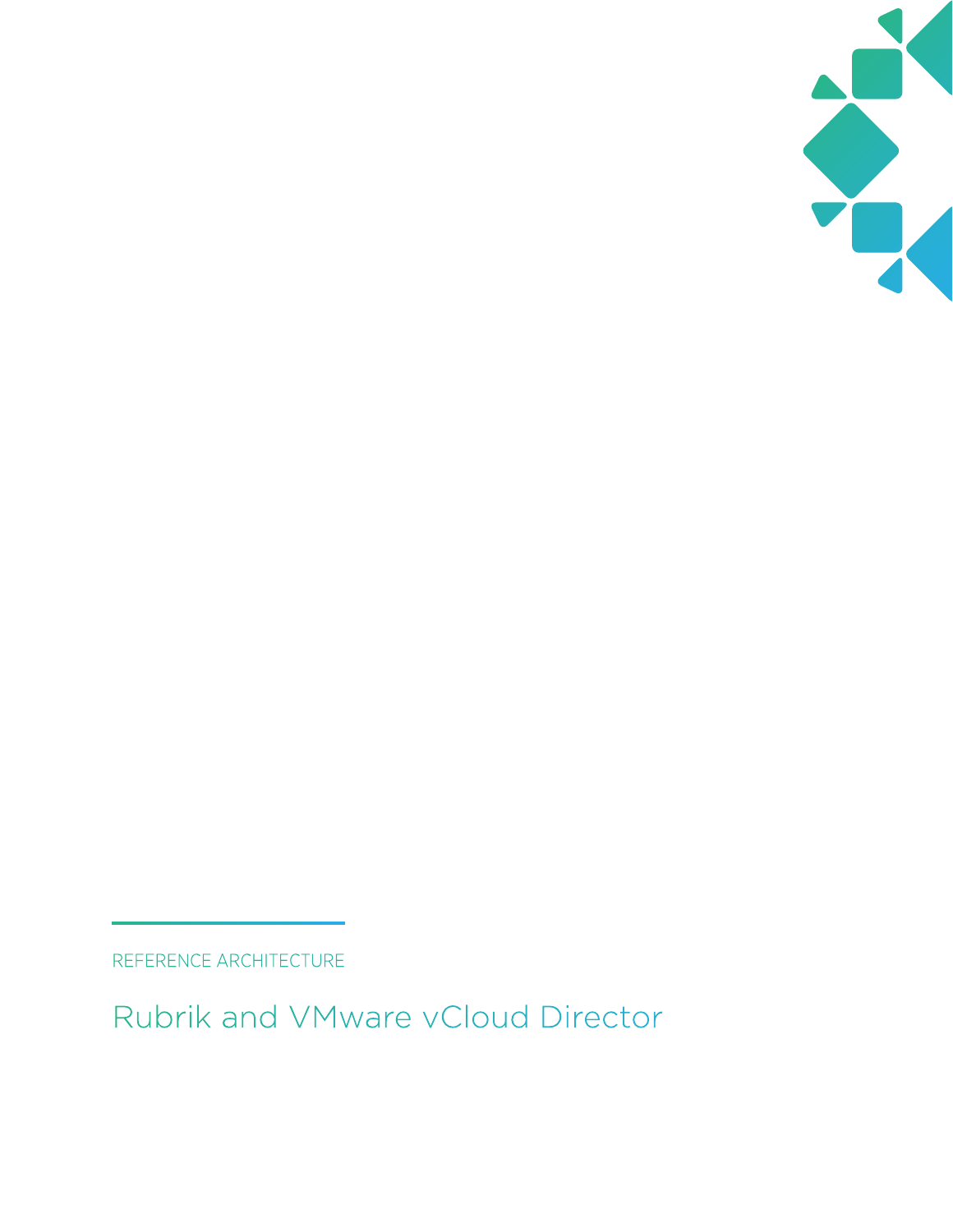

REFERENCE ARCHITECTURE

Rubrik and VMware vCloud Director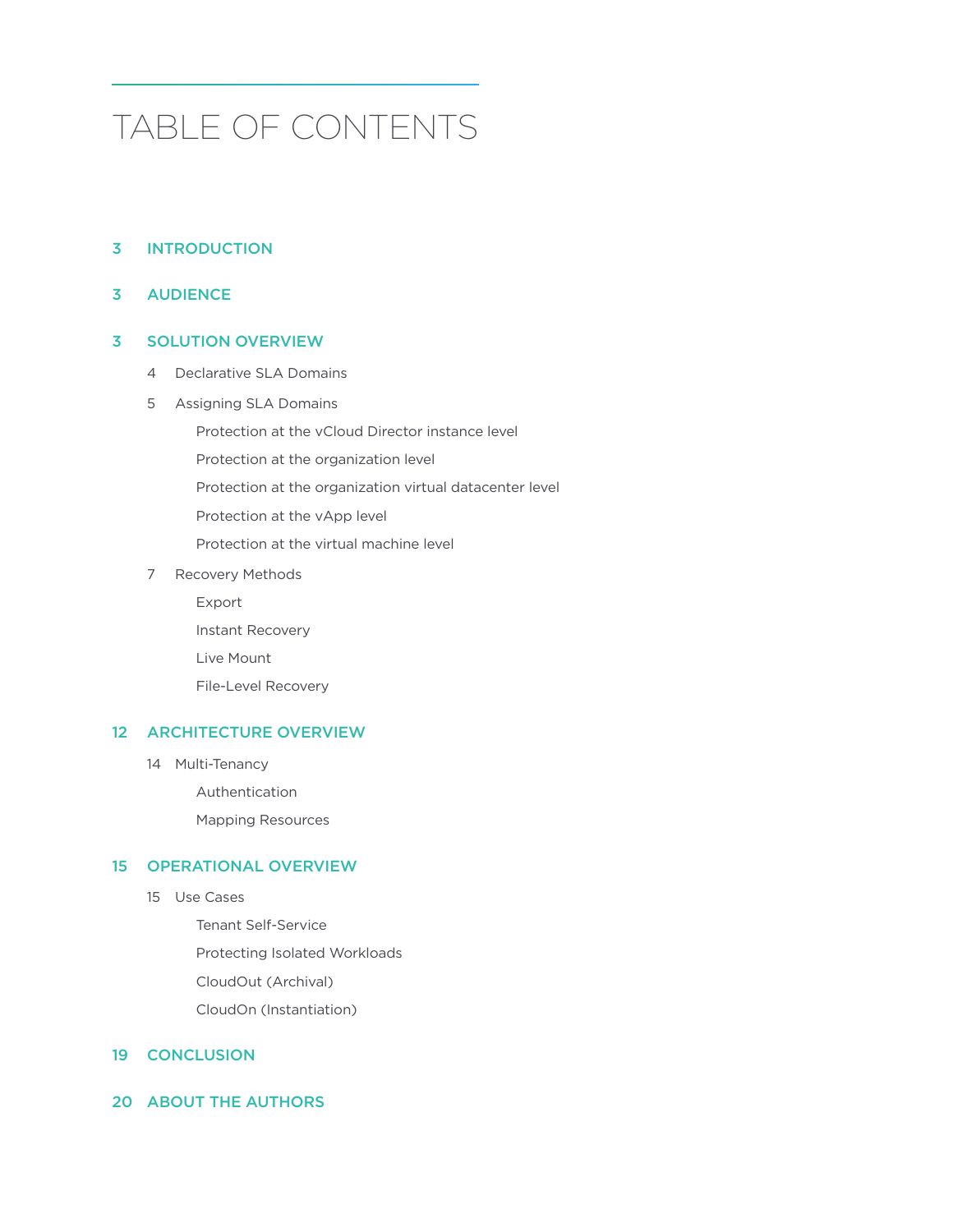# TABLE OF CONTENTS

# 3 [INTRODUCTION](#page-2-0)

## 3 [AUDIENCE](#page-2-0)

## 3 [SOLUTION OVERVIEW](#page-2-0)

- 4 [Declarative SLA Domains](#page-3-0)
- 5 [Assigning SLA Domains](#page-4-0)

[Protection at the vCloud Director instance level](#page-5-0)

[Protection at the organization level](#page-5-0)

[Protection at the organization virtual datacenter level](#page-5-0)

[Protection at the vApp level](#page-5-0)

[Protection at the virtual machine level](#page-5-0)

7 [Recovery Methods](#page-6-0)

[Export](#page-6-0)

[Instant Recovery](#page-7-0)

[Live Mount](#page-9-0)

[File-Level Recovery](#page-9-0)

## 12 [ARCHITECTURE OVERVIEW](#page-11-0)

14 [Multi-Tenancy](#page-13-0)

[Authentication](#page-13-0)

[Mapping Resources](#page-13-0)

# 15 [OPERATIONAL OVERVIEW](#page-14-0)

15 [Use Cases](#page-14-0)

[Tenant Self-Service](#page-14-0) [Protecting Isolated Workloads](#page-16-0) [CloudOut \(Archival\)](#page-17-0) [CloudOn \(Instantiation\)](#page-17-0)

### 19 [CONCLUSION](#page-18-0)

## 20 [ABOUT THE AUTHORS](#page-19-0)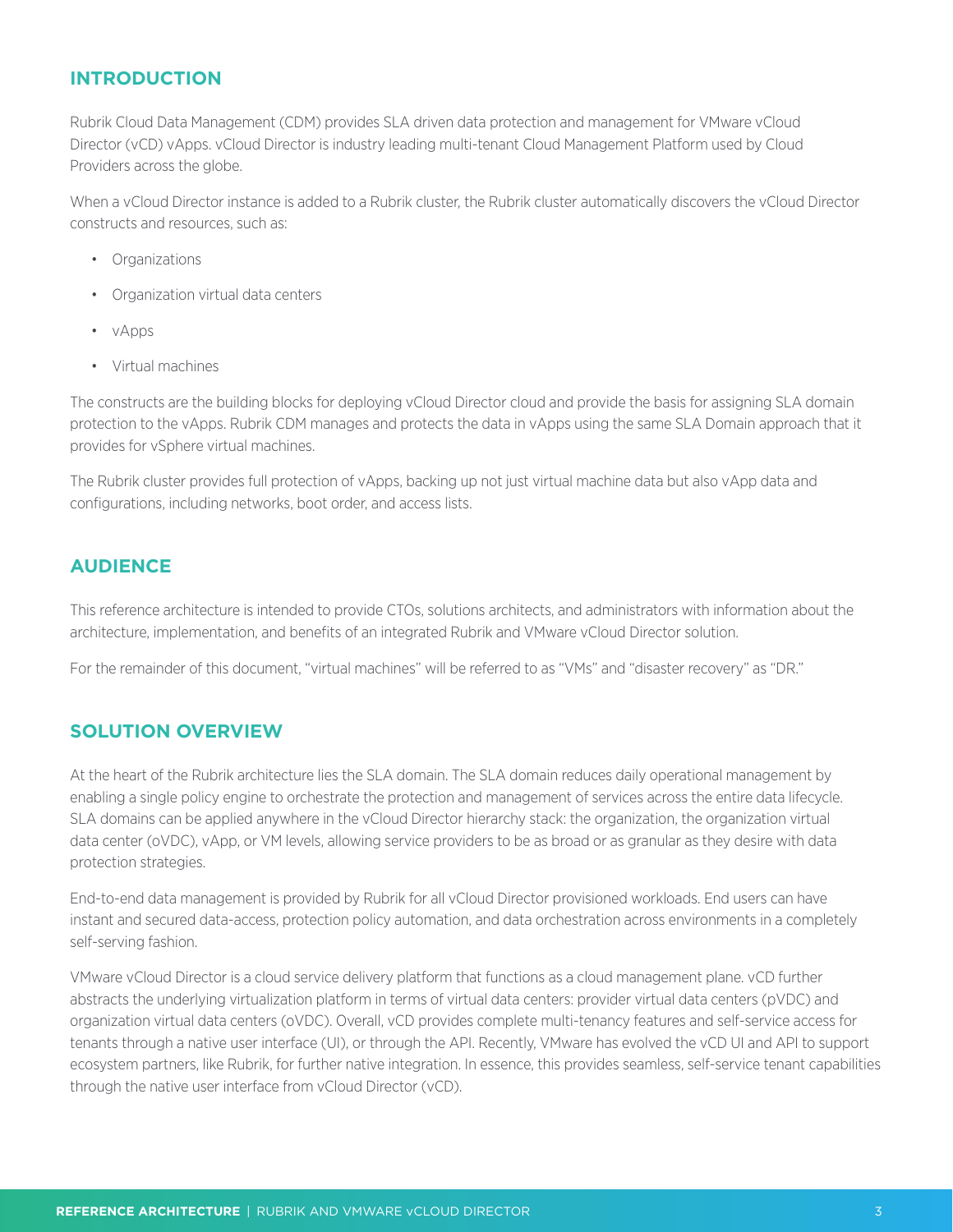# <span id="page-2-0"></span>**INTRODUCTION**

Rubrik Cloud Data Management (CDM) provides SLA driven data protection and management for VMware vCloud Director (vCD) vApps. vCloud Director is industry leading multi-tenant Cloud Management Platform used by Cloud Providers across the globe.

When a vCloud Director instance is added to a Rubrik cluster, the Rubrik cluster automatically discovers the vCloud Director constructs and resources, such as:

- Organizations
- Organization virtual data centers
- vApps
- Virtual machines

The constructs are the building blocks for deploying vCloud Director cloud and provide the basis for assigning SLA domain protection to the vApps. Rubrik CDM manages and protects the data in vApps using the same SLA Domain approach that it provides for vSphere virtual machines.

The Rubrik cluster provides full protection of vApps, backing up not just virtual machine data but also vApp data and configurations, including networks, boot order, and access lists.

# **AUDIENCE**

This reference architecture is intended to provide CTOs, solutions architects, and administrators with information about the architecture, implementation, and benefits of an integrated Rubrik and VMware vCloud Director solution.

For the remainder of this document, "virtual machines" will be referred to as "VMs" and "disaster recovery" as "DR."

# **SOLUTION OVERVIEW**

At the heart of the Rubrik architecture lies the SLA domain. The SLA domain reduces daily operational management by enabling a single policy engine to orchestrate the protection and management of services across the entire data lifecycle. SLA domains can be applied anywhere in the vCloud Director hierarchy stack: the organization, the organization virtual data center (oVDC), vApp, or VM levels, allowing service providers to be as broad or as granular as they desire with data protection strategies.

End-to-end data management is provided by Rubrik for all vCloud Director provisioned workloads. End users can have instant and secured data-access, protection policy automation, and data orchestration across environments in a completely self-serving fashion.

VMware vCloud Director is a cloud service delivery platform that functions as a cloud management plane. vCD further abstracts the underlying virtualization platform in terms of virtual data centers: provider virtual data centers (pVDC) and organization virtual data centers (oVDC). Overall, vCD provides complete multi-tenancy features and self-service access for tenants through a native user interface (UI), or through the API. Recently, VMware has evolved the vCD UI and API to support ecosystem partners, like Rubrik, for further native integration. In essence, this provides seamless, self-service tenant capabilities through the native user interface from vCloud Director (vCD).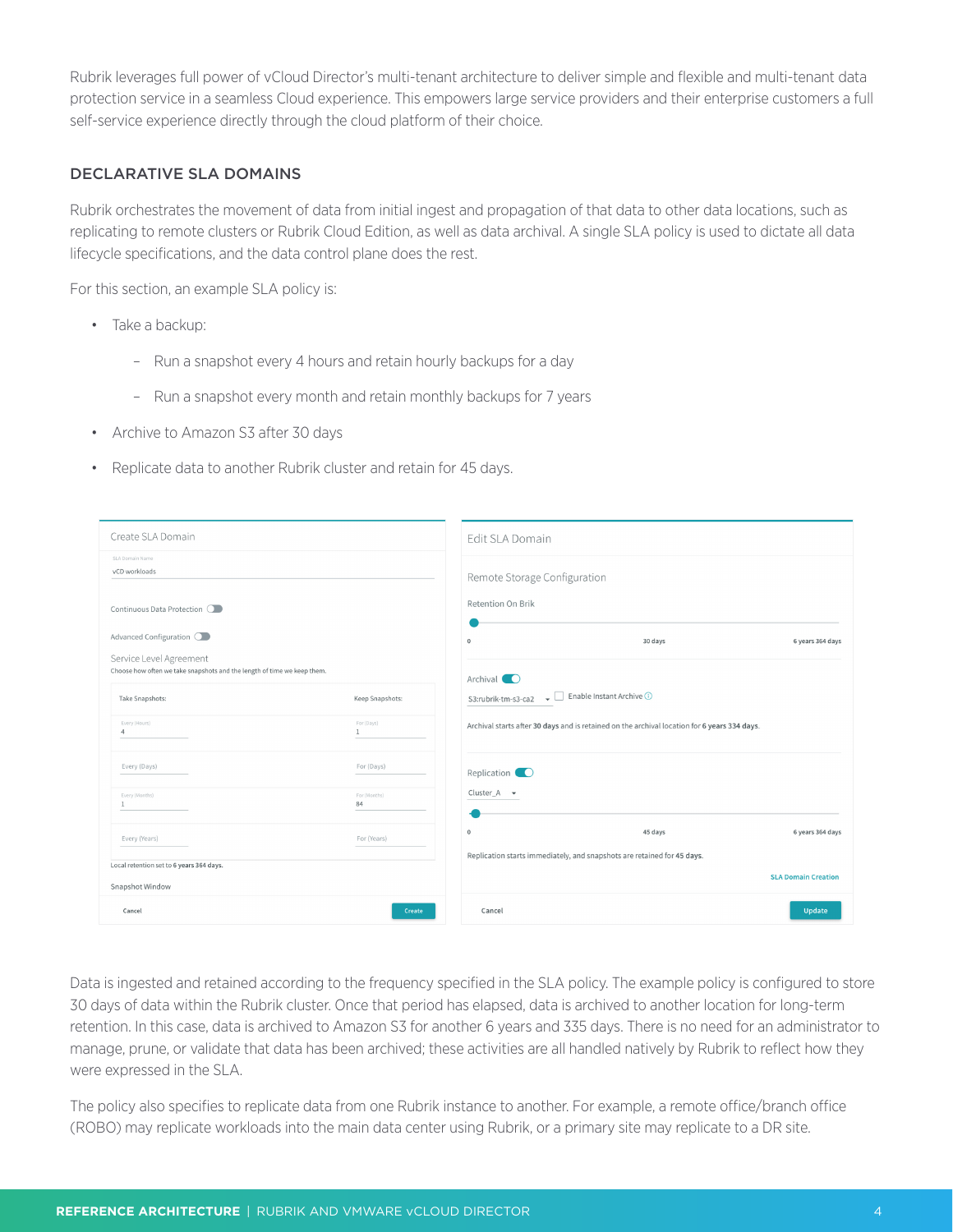<span id="page-3-0"></span>Rubrik leverages full power of vCloud Director's multi-tenant architecture to deliver simple and flexible and multi-tenant data protection service in a seamless Cloud experience. This empowers large service providers and their enterprise customers a full self-service experience directly through the cloud platform of their choice.

## DECLARATIVE SLA DOMAINS

Rubrik orchestrates the movement of data from initial ingest and propagation of that data to other data locations, such as replicating to remote clusters or Rubrik Cloud Edition, as well as data archival. A single SLA policy is used to dictate all data lifecycle specifications, and the data control plane does the rest.

For this section, an example SLA policy is:

- Take a backup:
	- Run a snapshot every 4 hours and retain hourly backups for a day
	- Run a snapshot every month and retain monthly backups for 7 years
- Archive to Amazon S3 after 30 days
- Replicate data to another Rubrik cluster and retain for 45 days.

| Create SLA Domain                                                                                                              |                               | Edit SLA Domain                                                                                                                                                                |                            |
|--------------------------------------------------------------------------------------------------------------------------------|-------------------------------|--------------------------------------------------------------------------------------------------------------------------------------------------------------------------------|----------------------------|
| SLA Domain Name<br>vCD workloads<br>Continuous Data Protection O                                                               |                               | Remote Storage Configuration<br>Retention On Brik                                                                                                                              |                            |
| Advanced Configuration O<br>Service Level Agreement<br>Choose how often we take snapshots and the length of time we keep them. |                               | $\mathbf{0}$<br>30 days                                                                                                                                                        | 6 years 364 days           |
| Take Snapshots:<br>Every (Hours)                                                                                               | Keep Snapshots:<br>For (Days) | Archival <b>O</b><br>Enable Instant Archive (i)<br>— ∟L<br>S3:rubrik-tm-s3-ca2<br>Archival starts after 30 days and is retained on the archival location for 6 years 334 days. |                            |
| $\Delta$<br>Every (Days)                                                                                                       | $\mathbf{1}$<br>For (Days)    |                                                                                                                                                                                |                            |
| Every (Months)<br>$\mathbf{1}$                                                                                                 | For (Months)<br>84            | Cluster_A $\bullet$                                                                                                                                                            |                            |
| Every (Years)                                                                                                                  | For (Years)                   | $\mathbb O$<br>45 days                                                                                                                                                         | 6 years 364 days           |
| Local retention set to 6 years 364 days.<br>Snapshot Window                                                                    |                               | Replication starts immediately, and snapshots are retained for 45 days.                                                                                                        | <b>SLA Domain Creation</b> |
| Cancel                                                                                                                         | Create                        | Cancel                                                                                                                                                                         | Update                     |

Data is ingested and retained according to the frequency specified in the SLA policy. The example policy is configured to store 30 days of data within the Rubrik cluster. Once that period has elapsed, data is archived to another location for long-term retention. In this case, data is archived to Amazon S3 for another 6 years and 335 days. There is no need for an administrator to manage, prune, or validate that data has been archived; these activities are all handled natively by Rubrik to reflect how they were expressed in the SLA.

The policy also specifies to replicate data from one Rubrik instance to another. For example, a remote office/branch office (ROBO) may replicate workloads into the main data center using Rubrik, or a primary site may replicate to a DR site.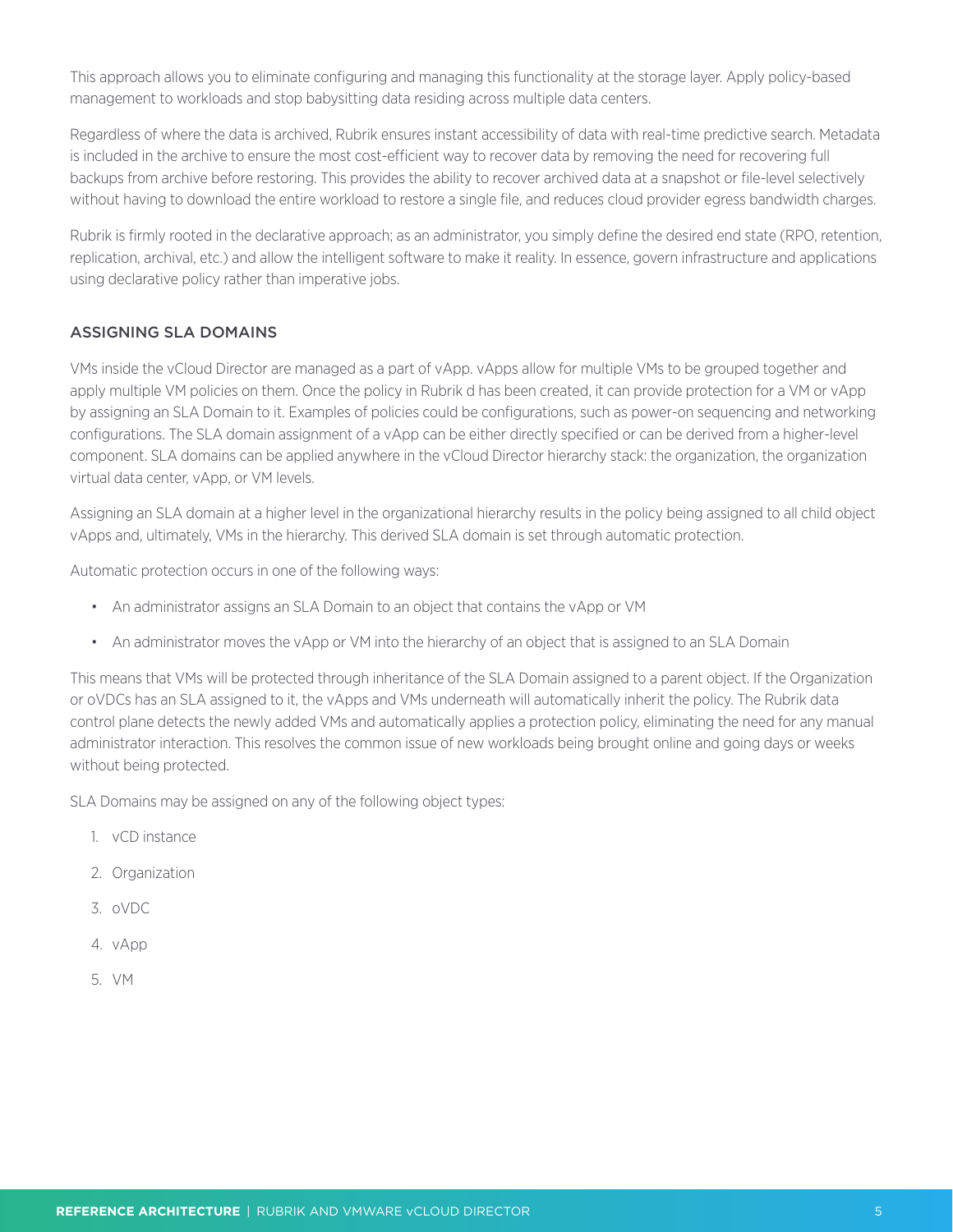<span id="page-4-0"></span>This approach allows you to eliminate configuring and managing this functionality at the storage layer. Apply policy-based management to workloads and stop babysitting data residing across multiple data centers.

Regardless of where the data is archived, Rubrik ensures instant accessibility of data with real-time predictive search. Metadata is included in the archive to ensure the most cost-efficient way to recover data by removing the need for recovering full backups from archive before restoring. This provides the ability to recover archived data at a snapshot or file-level selectively without having to download the entire workload to restore a single file, and reduces cloud provider egress bandwidth charges.

Rubrik is firmly rooted in the declarative approach; as an administrator, you simply define the desired end state (RPO, retention, replication, archival, etc.) and allow the intelligent software to make it reality. In essence, govern infrastructure and applications using declarative policy rather than imperative jobs.

# ASSIGNING SLA DOMAINS

VMs inside the vCloud Director are managed as a part of vApp. vApps allow for multiple VMs to be grouped together and apply multiple VM policies on them. Once the policy in Rubrik d has been created, it can provide protection for a VM or vApp by assigning an SLA Domain to it. Examples of policies could be configurations, such as power-on sequencing and networking configurations. The SLA domain assignment of a vApp can be either directly specified or can be derived from a higher-level component. SLA domains can be applied anywhere in the vCloud Director hierarchy stack: the organization, the organization virtual data center, vApp, or VM levels.

Assigning an SLA domain at a higher level in the organizational hierarchy results in the policy being assigned to all child object vApps and, ultimately, VMs in the hierarchy. This derived SLA domain is set through automatic protection.

Automatic protection occurs in one of the following ways:

- An administrator assigns an SLA Domain to an object that contains the vApp or VM
- An administrator moves the vApp or VM into the hierarchy of an object that is assigned to an SLA Domain

This means that VMs will be protected through inheritance of the SLA Domain assigned to a parent object. If the Organization or oVDCs has an SLA assigned to it, the vApps and VMs underneath will automatically inherit the policy. The Rubrik data control plane detects the newly added VMs and automatically applies a protection policy, eliminating the need for any manual administrator interaction. This resolves the common issue of new workloads being brought online and going days or weeks without being protected.

SLA Domains may be assigned on any of the following object types:

- 1. vCD instance
- 2. Organization
- 3. oVDC
- 4. vApp
- 5. VM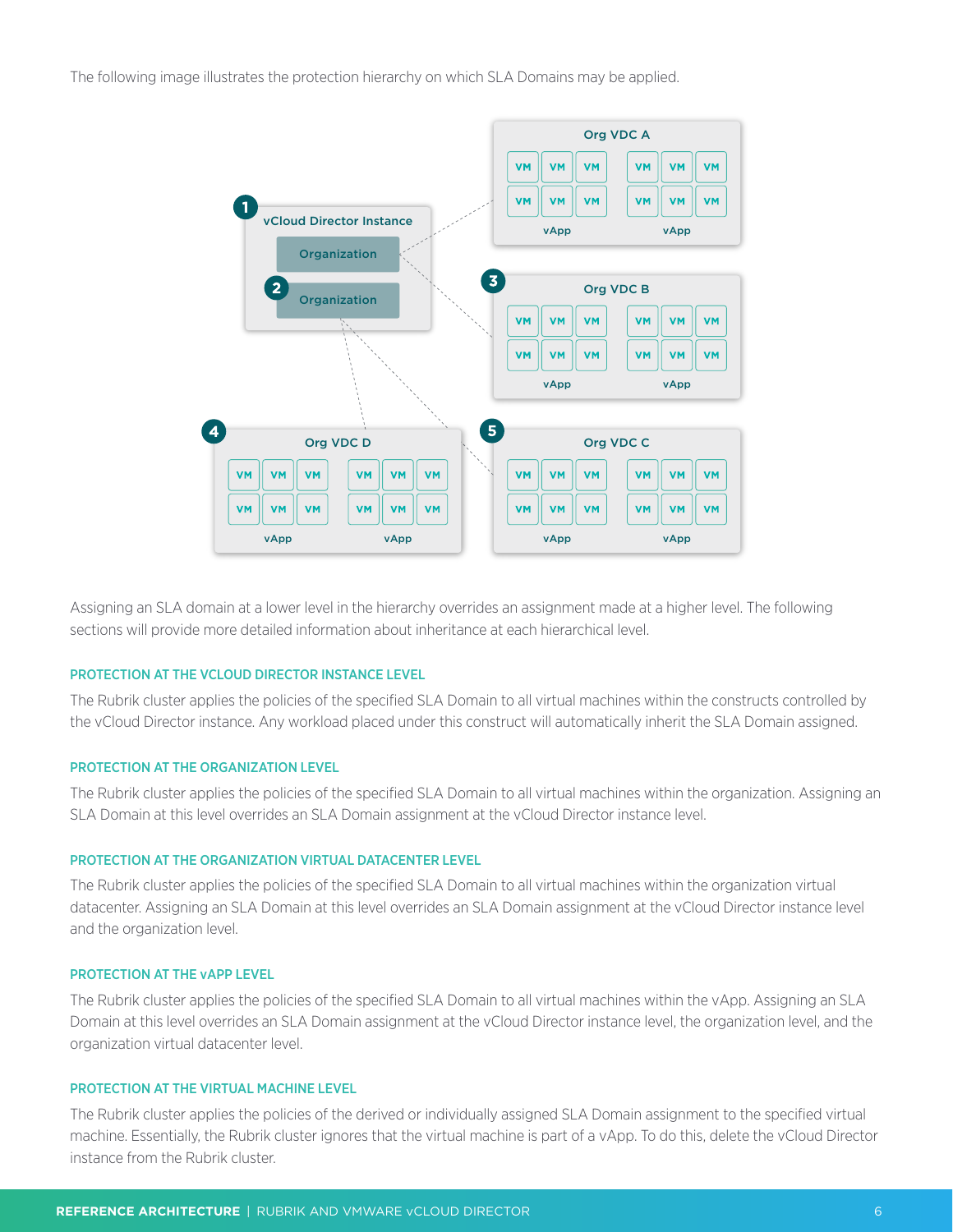<span id="page-5-0"></span>The following image illustrates the protection hierarchy on which SLA Domains may be applied.



Assigning an SLA domain at a lower level in the hierarchy overrides an assignment made at a higher level. The following sections will provide more detailed information about inheritance at each hierarchical level.

#### PROTECTION AT THE VCLOUD DIRECTOR INSTANCE LEVEL

The Rubrik cluster applies the policies of the specified SLA Domain to all virtual machines within the constructs controlled by the vCloud Director instance. Any workload placed under this construct will automatically inherit the SLA Domain assigned.

#### PROTECTION AT THE ORGANIZATION LEVEL

The Rubrik cluster applies the policies of the specified SLA Domain to all virtual machines within the organization. Assigning an SLA Domain at this level overrides an SLA Domain assignment at the vCloud Director instance level.

#### PROTECTION AT THE ORGANIZATION VIRTUAL DATACENTER LEVEL

The Rubrik cluster applies the policies of the specified SLA Domain to all virtual machines within the organization virtual datacenter. Assigning an SLA Domain at this level overrides an SLA Domain assignment at the vCloud Director instance level and the organization level.

#### PROTECTION AT THE vAPP LEVEL

The Rubrik cluster applies the policies of the specified SLA Domain to all virtual machines within the vApp. Assigning an SLA Domain at this level overrides an SLA Domain assignment at the vCloud Director instance level, the organization level, and the organization virtual datacenter level.

#### PROTECTION AT THE VIRTUAL MACHINE LEVEL

The Rubrik cluster applies the policies of the derived or individually assigned SLA Domain assignment to the specified virtual machine. Essentially, the Rubrik cluster ignores that the virtual machine is part of a vApp. To do this, delete the vCloud Director instance from the Rubrik cluster.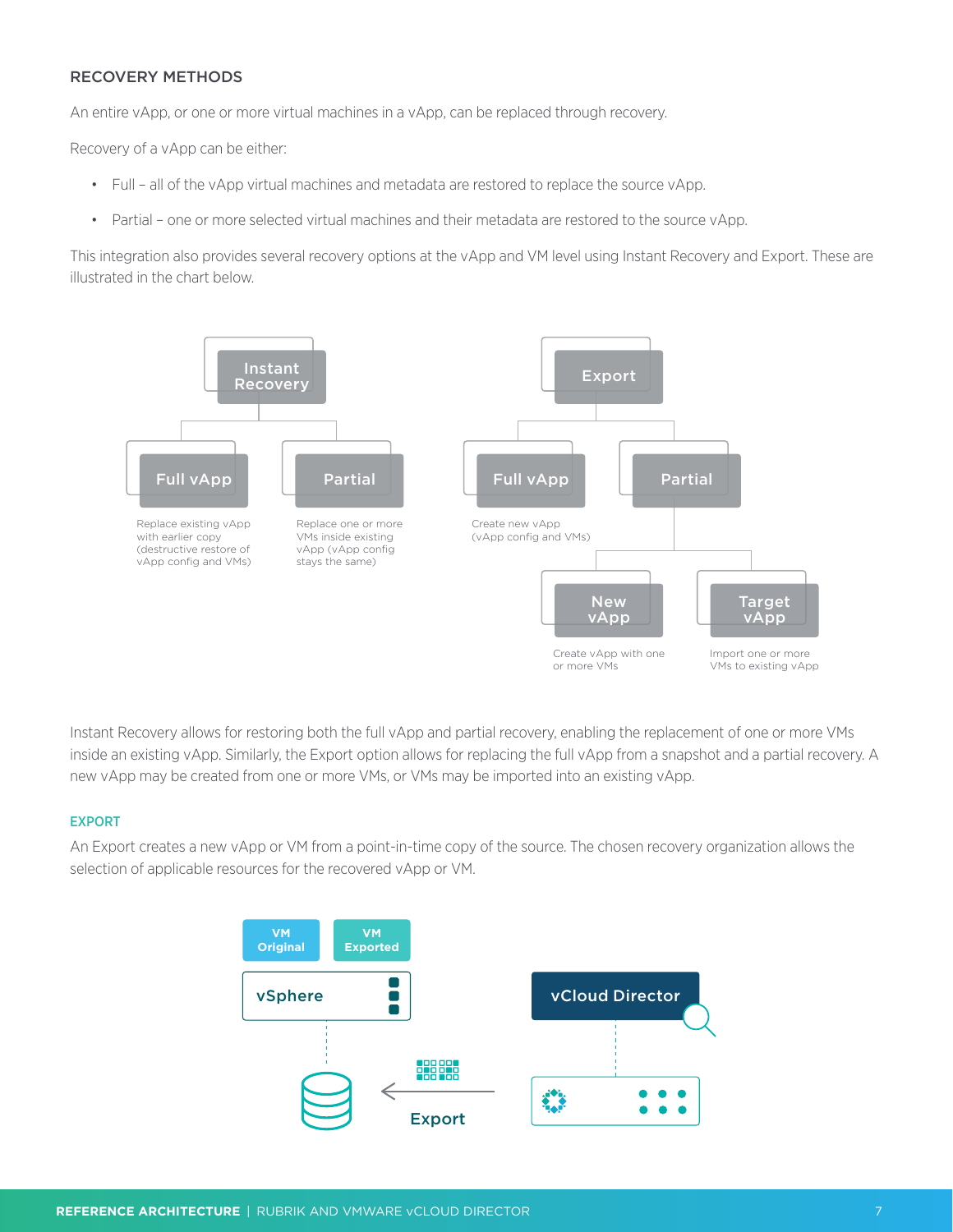# <span id="page-6-0"></span>RECOVERY METHODS

An entire vApp, or one or more virtual machines in a vApp, can be replaced through recovery.

Recovery of a vApp can be either:

- Full all of the vApp virtual machines and metadata are restored to replace the source vApp.
- Partial one or more selected virtual machines and their metadata are restored to the source vApp.

This integration also provides several recovery options at the vApp and VM level using Instant Recovery and Export. These are illustrated in the chart below.



Instant Recovery allows for restoring both the full vApp and partial recovery, enabling the replacement of one or more VMs inside an existing vApp. Similarly, the Export option allows for replacing the full vApp from a snapshot and a partial recovery. A new vApp may be created from one or more VMs, or VMs may be imported into an existing vApp.

#### EXPORT

An Export creates a new vApp or VM from a point-in-time copy of the source. The chosen recovery organization allows the selection of applicable resources for the recovered vApp or VM.

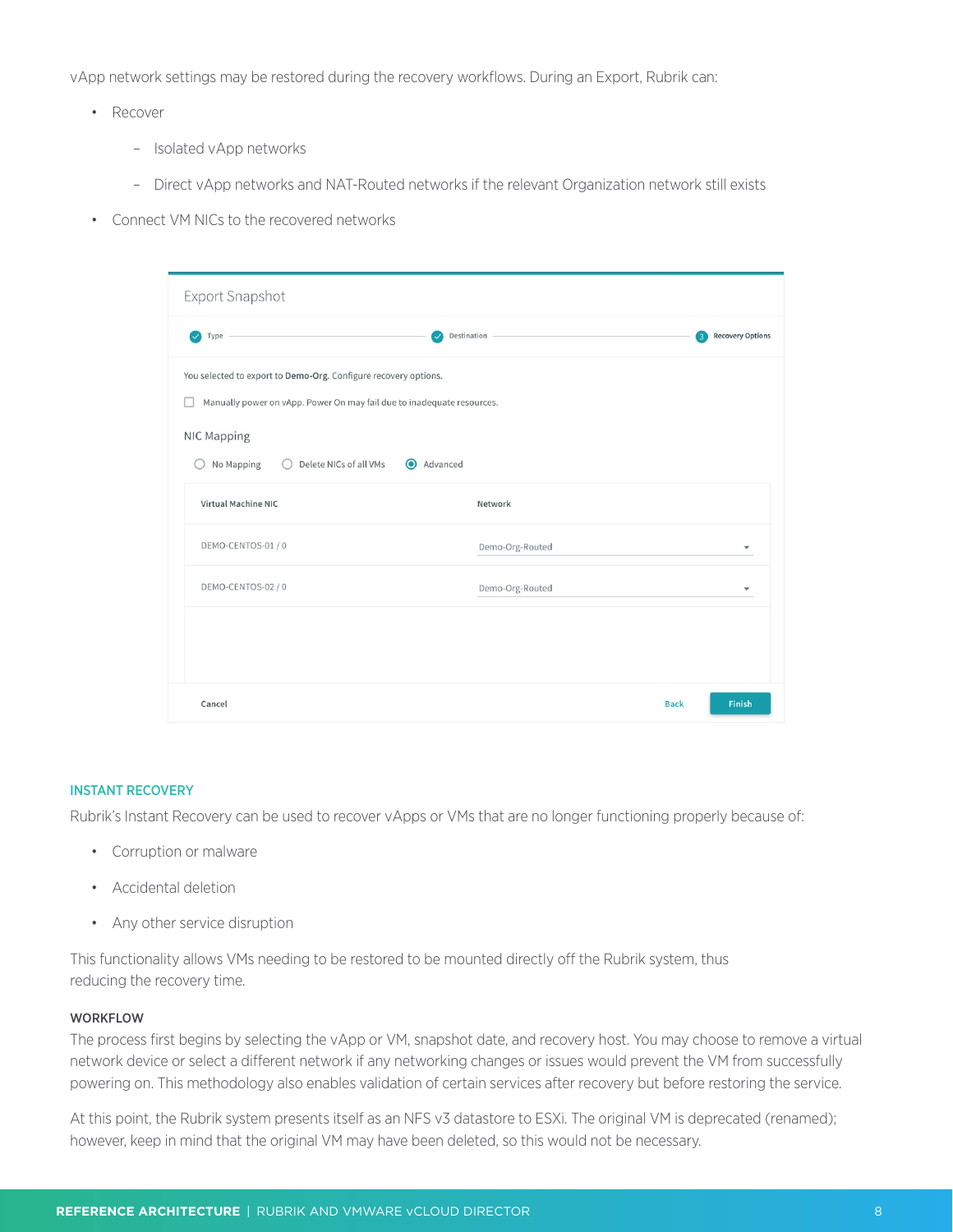<span id="page-7-0"></span>vApp network settings may be restored during the recovery workflows. During an Export, Rubrik can:

- Recover
	- Isolated vApp networks
	- Direct vApp networks and NAT-Routed networks if the relevant Organization network still exists
- Connect VM NICs to the recovered networks

| Export Snapshot                                                         |                                                                                                                                                       |                                                    |  |  |  |
|-------------------------------------------------------------------------|-------------------------------------------------------------------------------------------------------------------------------------------------------|----------------------------------------------------|--|--|--|
| Type $-$<br>$\checkmark$<br>$\checkmark$                                | Destination -                                                                                                                                         | <b>Recovery Options</b><br>$\overline{\mathbf{3}}$ |  |  |  |
| NIC Mapping<br>No Mapping<br>Delete NICs of all VMs<br>$\left( \right)$ | You selected to export to Demo-Org. Configure recovery options.<br>Manually power on vApp. Power On may fail due to inadequate resources.<br>Advanced |                                                    |  |  |  |
| <b>Virtual Machine NIC</b>                                              | Network                                                                                                                                               |                                                    |  |  |  |
| DEMO-CENTOS-01/0                                                        | Demo-Org-Routed                                                                                                                                       | $\blacktriangledown$                               |  |  |  |
| DEMO-CENTOS-02 / 0                                                      | Demo-Org-Routed                                                                                                                                       | $\overline{\phantom{a}}$                           |  |  |  |
|                                                                         |                                                                                                                                                       |                                                    |  |  |  |
| Cancel                                                                  | <b>Back</b>                                                                                                                                           | Finish                                             |  |  |  |

#### INSTANT RECOVERY

Rubrik's Instant Recovery can be used to recover vApps or VMs that are no longer functioning properly because of:

- Corruption or malware
- Accidental deletion
- Any other service disruption

This functionality allows VMs needing to be restored to be mounted directly off the Rubrik system, thus reducing the recovery time.

### WORKFLOW

The process first begins by selecting the vApp or VM, snapshot date, and recovery host. You may choose to remove a virtual network device or select a different network if any networking changes or issues would prevent the VM from successfully powering on. This methodology also enables validation of certain services after recovery but before restoring the service.

At this point, the Rubrik system presents itself as an NFS v3 datastore to ESXi. The original VM is deprecated (renamed); however, keep in mind that the original VM may have been deleted, so this would not be necessary.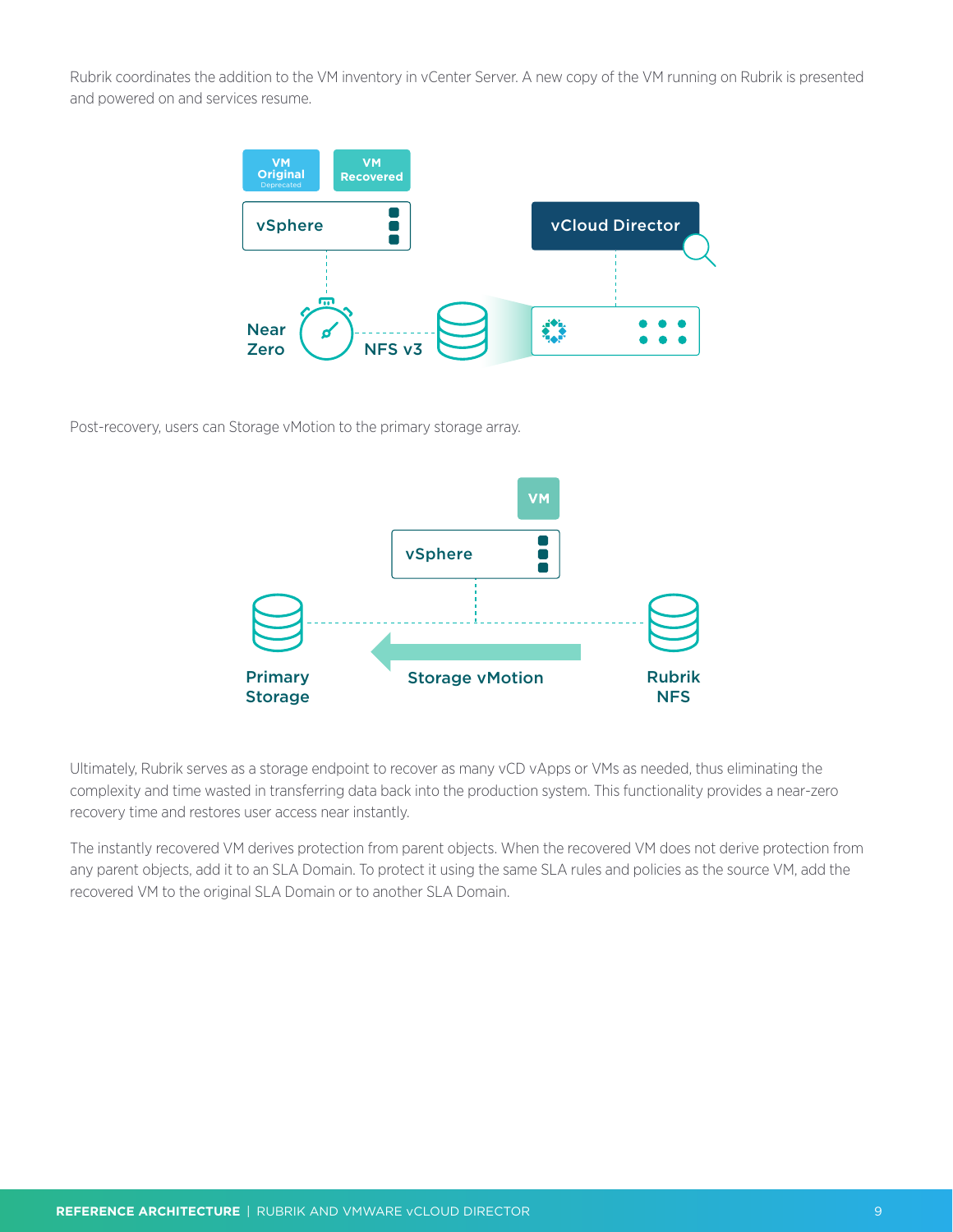Rubrik coordinates the addition to the VM inventory in vCenter Server. A new copy of the VM running on Rubrik is presented and powered on and services resume.



Post-recovery, users can Storage vMotion to the primary storage array.



Ultimately, Rubrik serves as a storage endpoint to recover as many vCD vApps or VMs as needed, thus eliminating the complexity and time wasted in transferring data back into the production system. This functionality provides a near-zero recovery time and restores user access near instantly.

The instantly recovered VM derives protection from parent objects. When the recovered VM does not derive protection from any parent objects, add it to an SLA Domain. To protect it using the same SLA rules and policies as the source VM, add the recovered VM to the original SLA Domain or to another SLA Domain.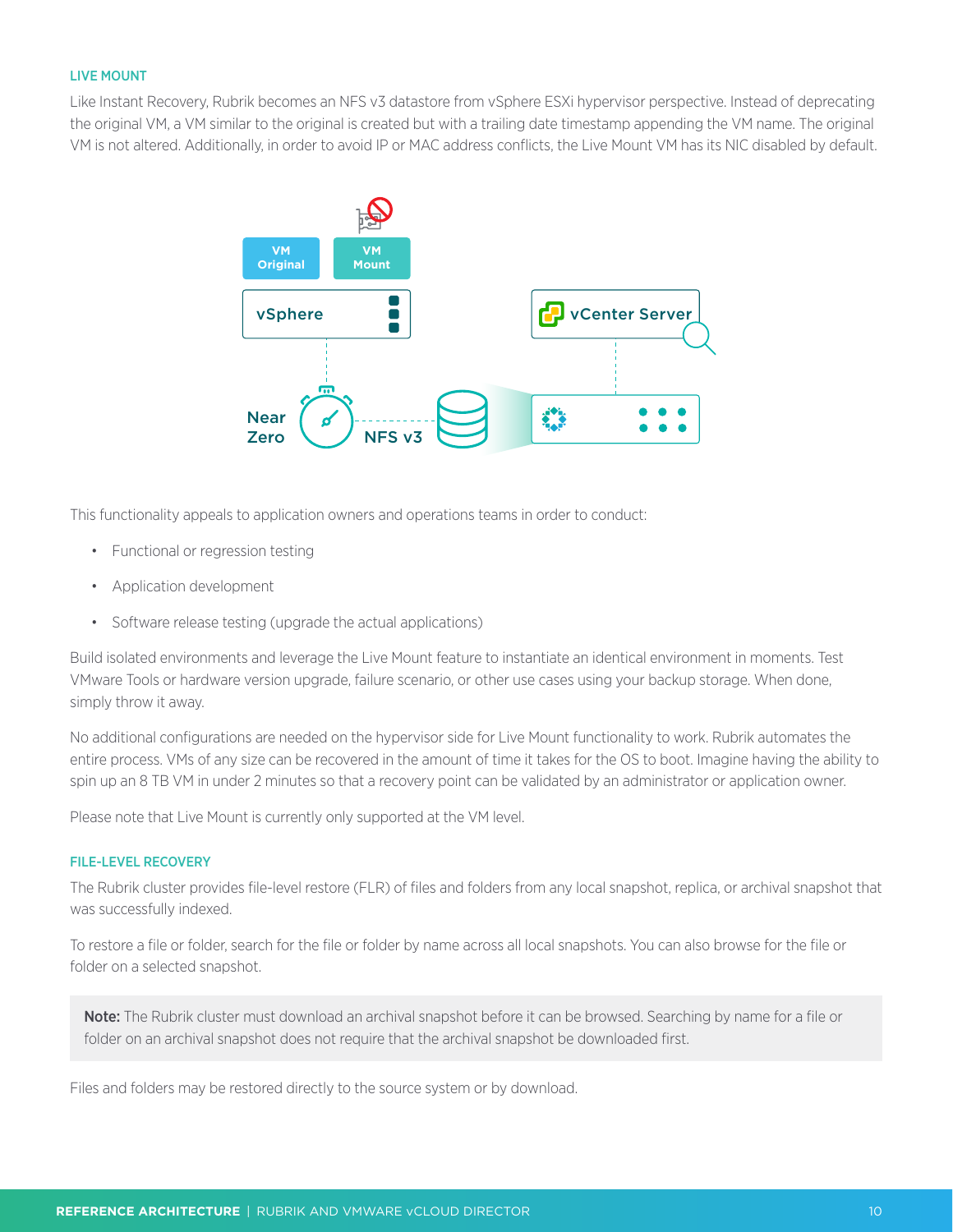## <span id="page-9-0"></span>LIVE MOUNT

Like Instant Recovery, Rubrik becomes an NFS v3 datastore from vSphere ESXi hypervisor perspective. Instead of deprecating the original VM, a VM similar to the original is created but with a trailing date timestamp appending the VM name. The original VM is not altered. Additionally, in order to avoid IP or MAC address conflicts, the Live Mount VM has its NIC disabled by default.



This functionality appeals to application owners and operations teams in order to conduct:

- Functional or regression testing
- Application development
- Software release testing (upgrade the actual applications)

Build isolated environments and leverage the Live Mount feature to instantiate an identical environment in moments. Test VMware Tools or hardware version upgrade, failure scenario, or other use cases using your backup storage. When done, simply throw it away.

No additional configurations are needed on the hypervisor side for Live Mount functionality to work. Rubrik automates the entire process. VMs of any size can be recovered in the amount of time it takes for the OS to boot. Imagine having the ability to spin up an 8 TB VM in under 2 minutes so that a recovery point can be validated by an administrator or application owner.

Please note that Live Mount is currently only supported at the VM level.

#### FILE-LEVEL RECOVERY

The Rubrik cluster provides file-level restore (FLR) of files and folders from any local snapshot, replica, or archival snapshot that was successfully indexed.

To restore a file or folder, search for the file or folder by name across all local snapshots. You can also browse for the file or folder on a selected snapshot.

Note: The Rubrik cluster must download an archival snapshot before it can be browsed. Searching by name for a file or folder on an archival snapshot does not require that the archival snapshot be downloaded first.

Files and folders may be restored directly to the source system or by download.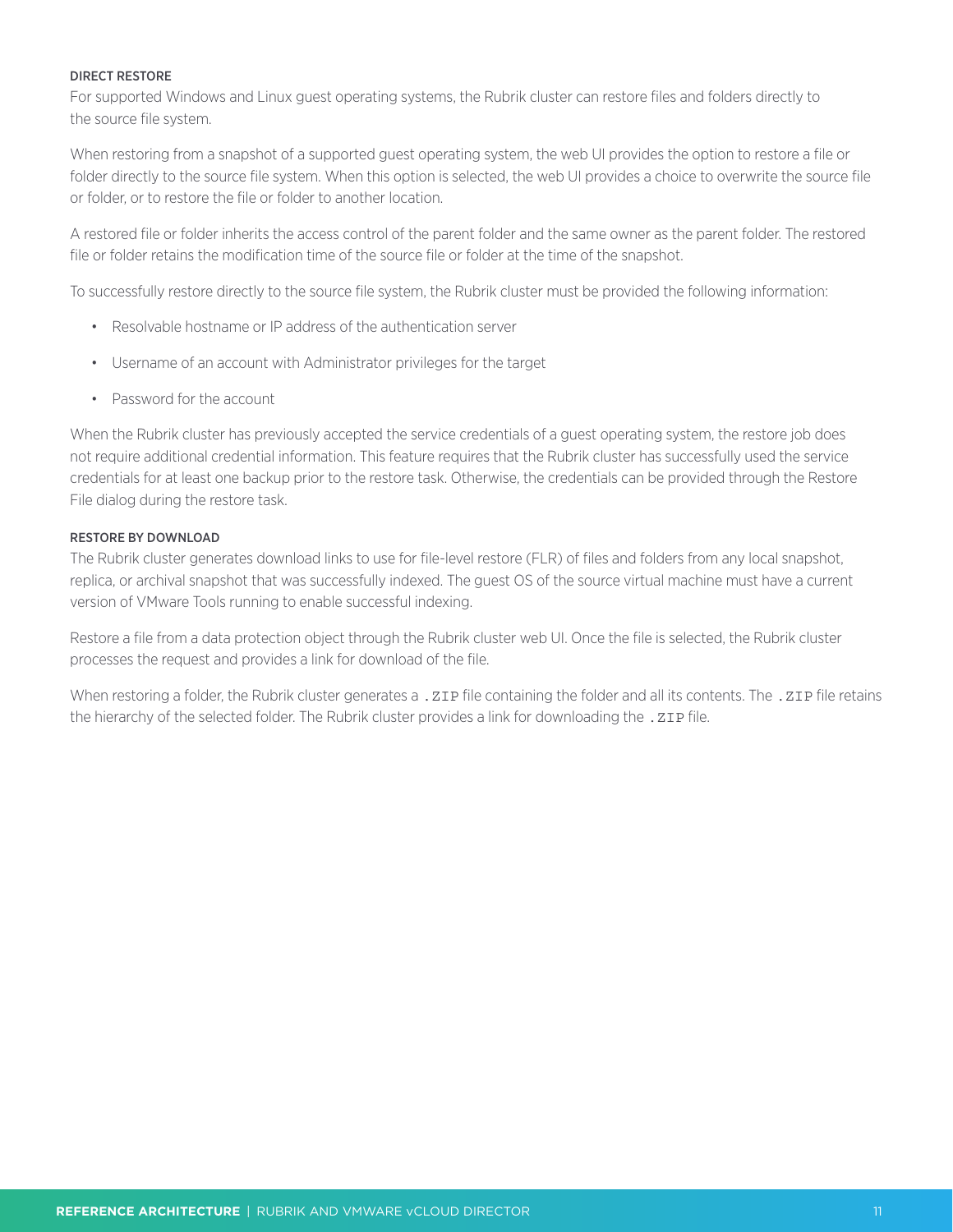#### DIRECT RESTORE

For supported Windows and Linux guest operating systems, the Rubrik cluster can restore files and folders directly to the source file system.

When restoring from a snapshot of a supported guest operating system, the web UI provides the option to restore a file or folder directly to the source file system. When this option is selected, the web UI provides a choice to overwrite the source file or folder, or to restore the file or folder to another location.

A restored file or folder inherits the access control of the parent folder and the same owner as the parent folder. The restored file or folder retains the modification time of the source file or folder at the time of the snapshot.

To successfully restore directly to the source file system, the Rubrik cluster must be provided the following information:

- Resolvable hostname or IP address of the authentication server
- Username of an account with Administrator privileges for the target
- Password for the account

When the Rubrik cluster has previously accepted the service credentials of a guest operating system, the restore job does not require additional credential information. This feature requires that the Rubrik cluster has successfully used the service credentials for at least one backup prior to the restore task. Otherwise, the credentials can be provided through the Restore File dialog during the restore task.

#### RESTORE BY DOWNLOAD

The Rubrik cluster generates download links to use for file-level restore (FLR) of files and folders from any local snapshot, replica, or archival snapshot that was successfully indexed. The guest OS of the source virtual machine must have a current version of VMware Tools running to enable successful indexing.

Restore a file from a data protection object through the Rubrik cluster web UI. Once the file is selected, the Rubrik cluster processes the request and provides a link for download of the file.

When restoring a folder, the Rubrik cluster generates a . ZIP file containing the folder and all its contents. The . ZIP file retains the hierarchy of the selected folder. The Rubrik cluster provides a link for downloading the . ZIP file.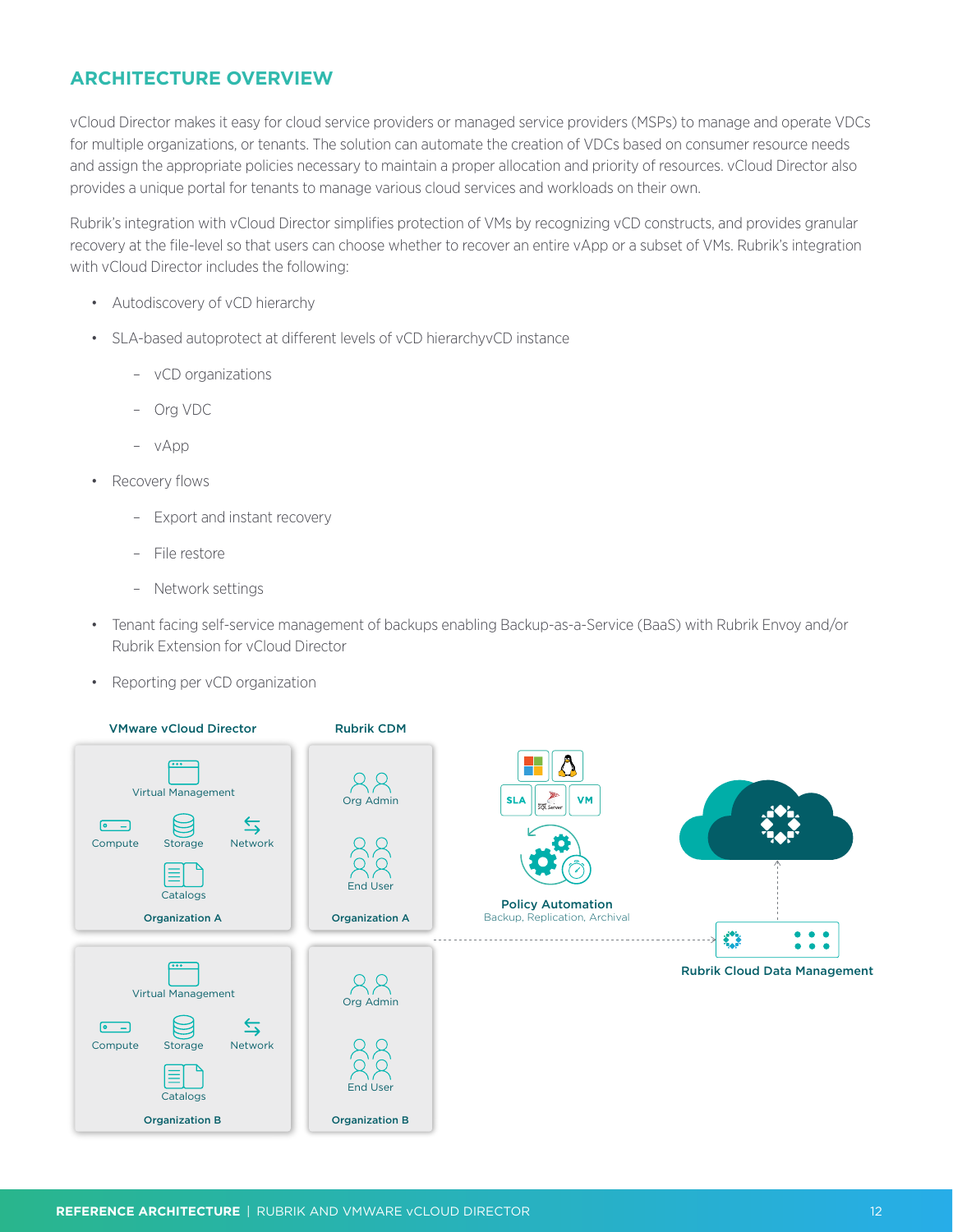# <span id="page-11-0"></span>**ARCHITECTURE OVERVIEW**

vCloud Director makes it easy for cloud service providers or managed service providers (MSPs) to manage and operate VDCs for multiple organizations, or tenants. The solution can automate the creation of VDCs based on consumer resource needs and assign the appropriate policies necessary to maintain a proper allocation and priority of resources. vCloud Director also provides a unique portal for tenants to manage various cloud services and workloads on their own.

Rubrik's integration with vCloud Director simplifies protection of VMs by recognizing vCD constructs, and provides granular recovery at the file-level so that users can choose whether to recover an entire vApp or a subset of VMs. Rubrik's integration with vCloud Director includes the following:

- Autodiscovery of vCD hierarchy
- SLA-based autoprotect at different levels of vCD hierarchyvCD instance
	- vCD organizations
	- Org VDC
	- vApp
- Recovery flows
	- Export and instant recovery
	- File restore
	- Network settings
- Tenant facing self-service management of backups enabling Backup-as-a-Service (BaaS) with Rubrik Envoy and/or Rubrik Extension for vCloud Director
- Reporting per vCD organization

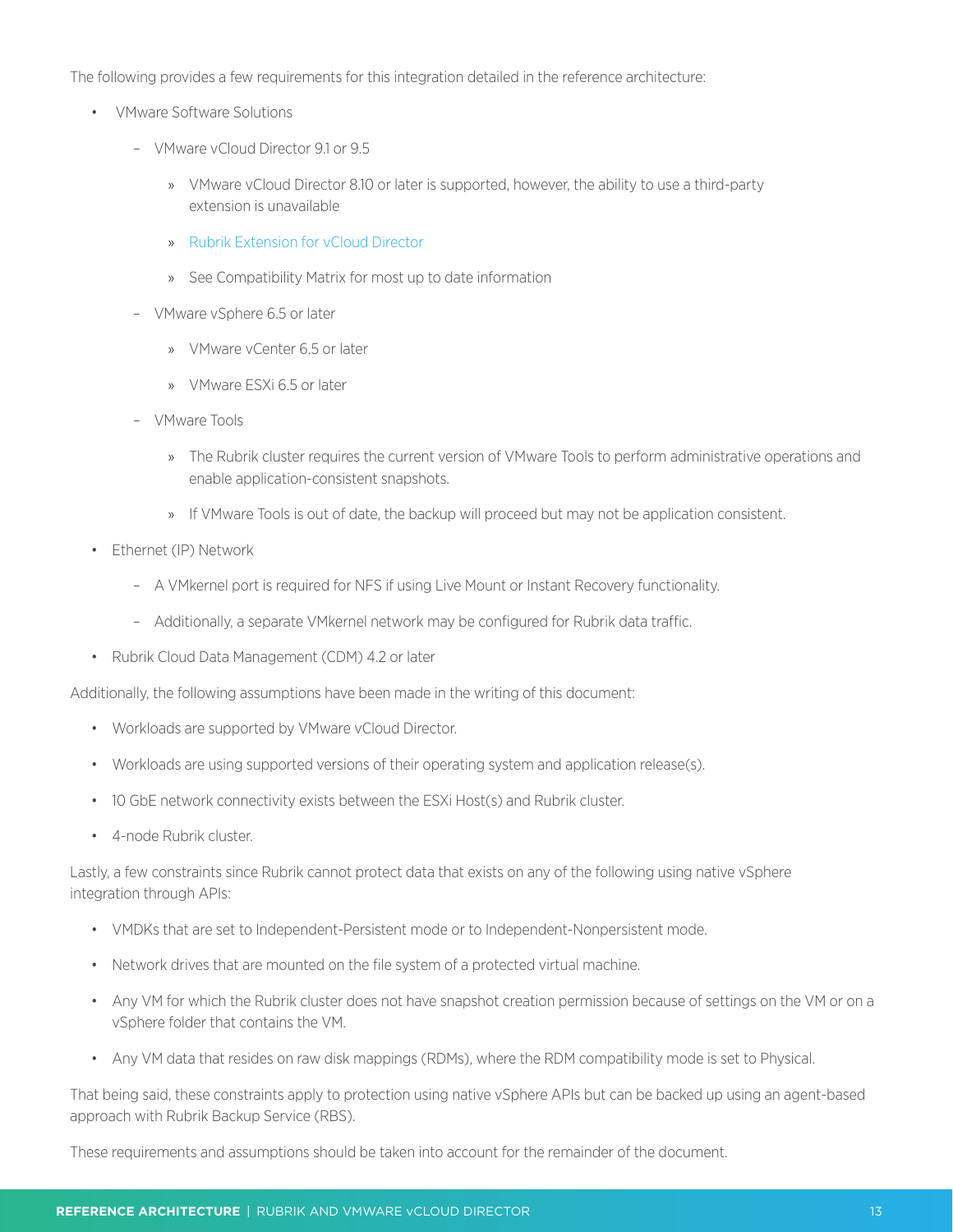The following provides a few requirements for this integration detailed in the reference architecture:

- VMware Software Solutions
	- VMware vCloud Director 9.1 or 9.5
		- » VMware vCloud Director 8.10 or later is supported, however, the ability to use a third-party extension is unavailable
		- » [Rubrik Extension for vCloud Director](https://github.com/rubrikinc/rubrik-extension-for-vcd)
		- » See Compatibility Matrix for most up to date information
	- VMware vSphere 6.5 or later
		- » VMware vCenter 6.5 or later
		- » VMware ESXi 6.5 or later
	- VMware Tools
		- » The Rubrik cluster requires the current version of VMware Tools to perform administrative operations and enable application-consistent snapshots.
		- » If VMware Tools is out of date, the backup will proceed but may not be application consistent.
- Ethernet (IP) Network
	- A VMkernel port is required for NFS if using Live Mount or Instant Recovery functionality.
	- Additionally, a separate VMkernel network may be configured for Rubrik data traffic.
- Rubrik Cloud Data Management (CDM) 4.2 or later

Additionally, the following assumptions have been made in the writing of this document:

- Workloads are supported by VMware vCloud Director.
- Workloads are using supported versions of their operating system and application release(s).
- 10 GbE network connectivity exists between the ESXi Host(s) and Rubrik cluster.
- 4-node Rubrik cluster.

Lastly, a few constraints since Rubrik cannot protect data that exists on any of the following using native vSphere integration through APIs:

- VMDKs that are set to Independent-Persistent mode or to Independent-Nonpersistent mode.
- Network drives that are mounted on the file system of a protected virtual machine.
- Any VM for which the Rubrik cluster does not have snapshot creation permission because of settings on the VM or on a vSphere folder that contains the VM.
- Any VM data that resides on raw disk mappings (RDMs), where the RDM compatibility mode is set to Physical.

That being said, these constraints apply to protection using native vSphere APIs but can be backed up using an agent-based approach with Rubrik Backup Service (RBS).

These requirements and assumptions should be taken into account for the remainder of the document.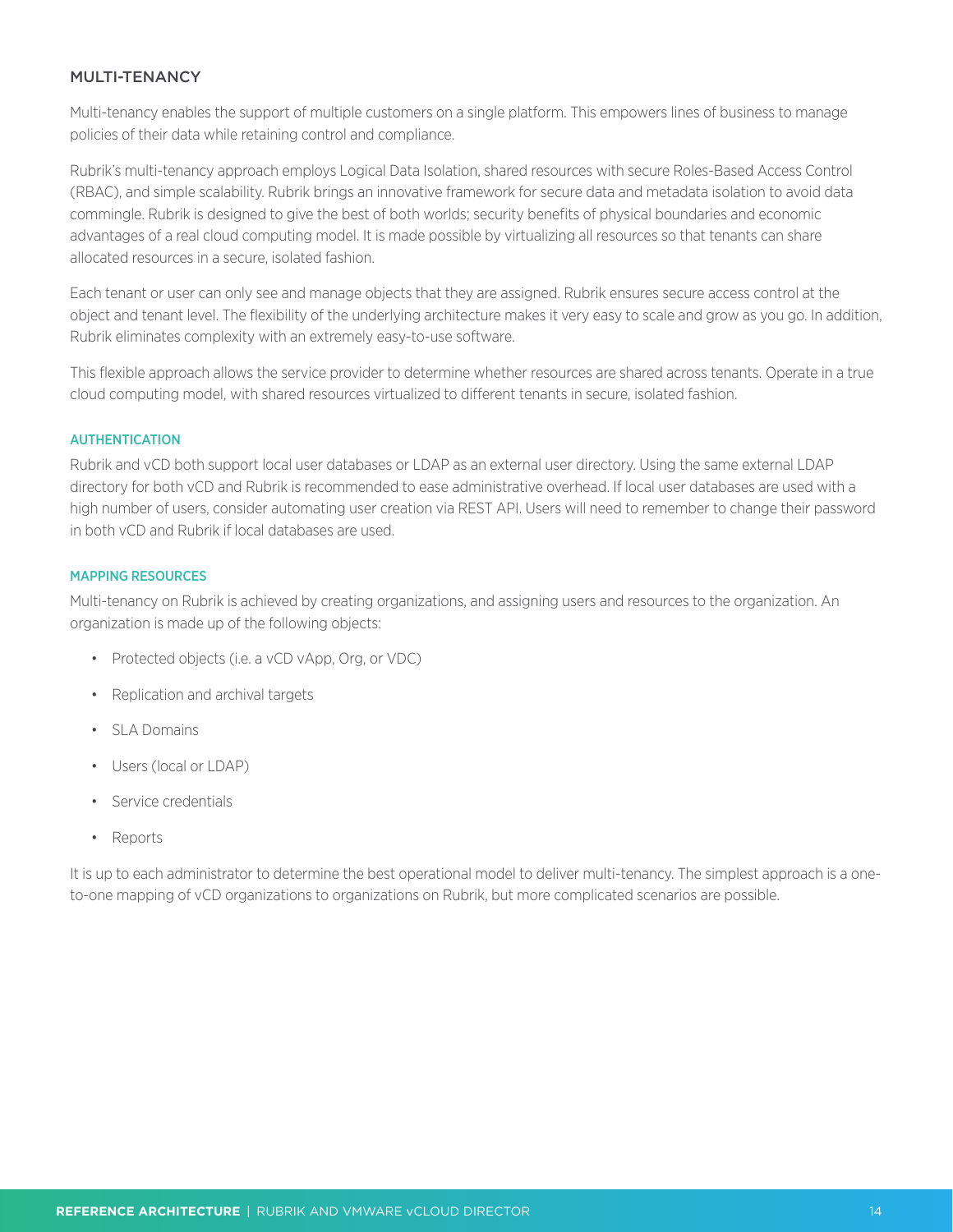## <span id="page-13-0"></span>MULTI-TENANCY

Multi-tenancy enables the support of multiple customers on a single platform. This empowers lines of business to manage policies of their data while retaining control and compliance.

Rubrik's multi-tenancy approach employs Logical Data Isolation, shared resources with secure Roles-Based Access Control (RBAC), and simple scalability. Rubrik brings an innovative framework for secure data and metadata isolation to avoid data commingle. Rubrik is designed to give the best of both worlds; security benefits of physical boundaries and economic advantages of a real cloud computing model. It is made possible by virtualizing all resources so that tenants can share allocated resources in a secure, isolated fashion.

Each tenant or user can only see and manage objects that they are assigned. Rubrik ensures secure access control at the object and tenant level. The flexibility of the underlying architecture makes it very easy to scale and grow as you go. In addition, Rubrik eliminates complexity with an extremely easy-to-use software.

This flexible approach allows the service provider to determine whether resources are shared across tenants. Operate in a true cloud computing model, with shared resources virtualized to different tenants in secure, isolated fashion.

#### AUTHENTICATION

Rubrik and vCD both support local user databases or LDAP as an external user directory. Using the same external LDAP directory for both vCD and Rubrik is recommended to ease administrative overhead. If local user databases are used with a high number of users, consider automating user creation via REST API. Users will need to remember to change their password in both vCD and Rubrik if local databases are used.

## MAPPING RESOURCES

Multi-tenancy on Rubrik is achieved by creating organizations, and assigning users and resources to the organization. An organization is made up of the following objects:

- Protected objects (i.e. a vCD vApp, Org, or VDC)
- Replication and archival targets
- SLA Domains
- Users (local or LDAP)
- Service credentials
- Reports

It is up to each administrator to determine the best operational model to deliver multi-tenancy. The simplest approach is a oneto-one mapping of vCD organizations to organizations on Rubrik, but more complicated scenarios are possible.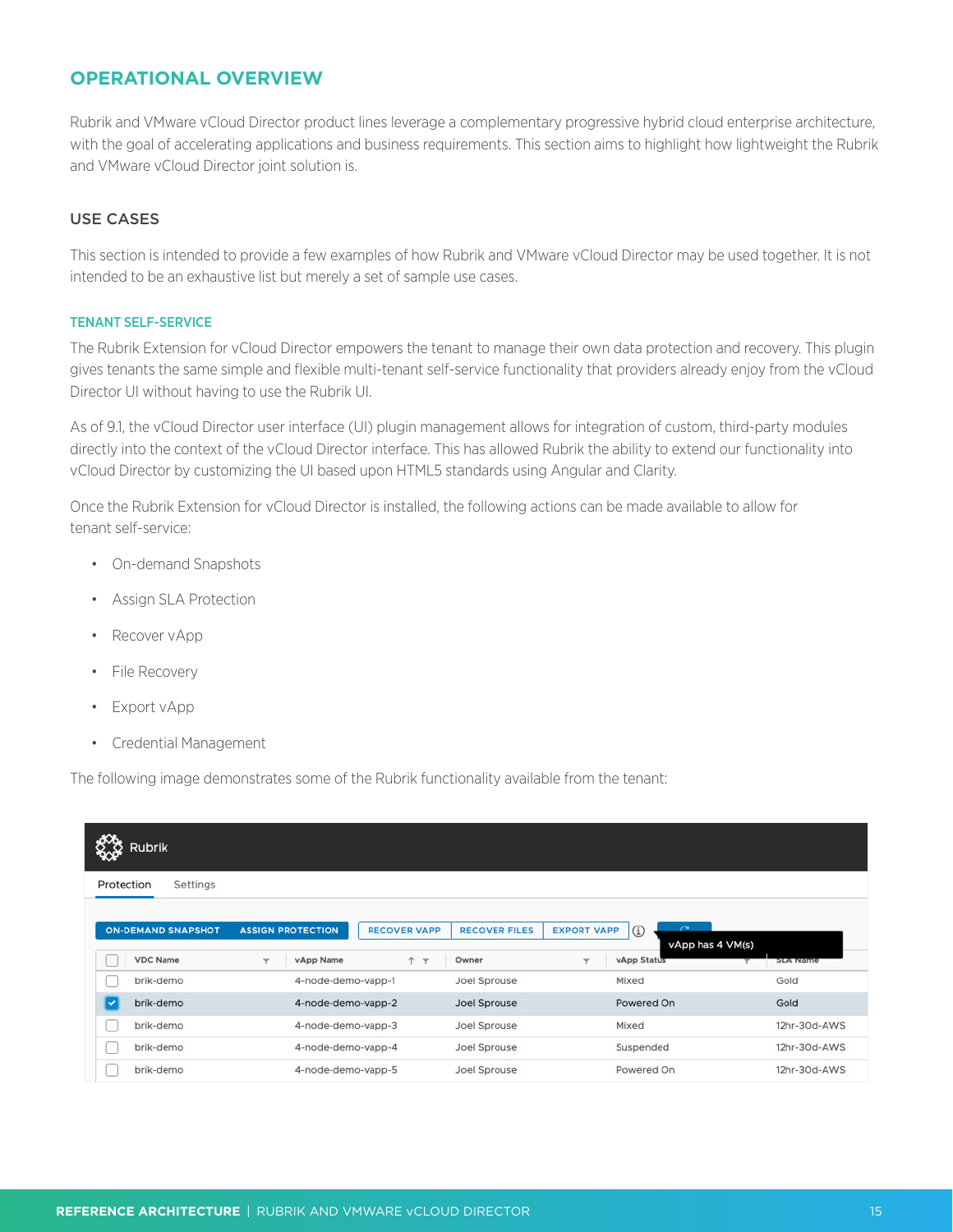# <span id="page-14-0"></span>**OPERATIONAL OVERVIEW**

Rubrik and VMware vCloud Director product lines leverage a complementary progressive hybrid cloud enterprise architecture, with the goal of accelerating applications and business requirements. This section aims to highlight how lightweight the Rubrik and VMware vCloud Director joint solution is.

## USE CASES

This section is intended to provide a few examples of how Rubrik and VMware vCloud Director may be used together. It is not intended to be an exhaustive list but merely a set of sample use cases.

#### TENANT SELF-SERVICE

The Rubrik Extension for vCloud Director empowers the tenant to manage their own data protection and recovery. This plugin gives tenants the same simple and flexible multi-tenant self-service functionality that providers already enjoy from the vCloud Director UI without having to use the Rubrik UI.

As of 9.1, the vCloud Director user interface (UI) plugin management allows for integration of custom, third-party modules directly into the context of the vCloud Director interface. This has allowed Rubrik the ability to extend our functionality into vCloud Director by customizing the UI based upon HTML5 standards using Angular and Clarity.

Once the Rubrik Extension for vCloud Director is installed, the following actions can be made available to allow for tenant self-service:

- On-demand Snapshots
- Assign SLA Protection
- Recover vApp
- File Recovery
- Export vApp
- Credential Management

The following image demonstrates some of the Rubrik functionality available from the tenant:

| <b>Rubrik</b>                                |                                                                                              |                                                                          |                                                |                 |
|----------------------------------------------|----------------------------------------------------------------------------------------------|--------------------------------------------------------------------------|------------------------------------------------|-----------------|
| Settings<br>Protection                       |                                                                                              |                                                                          |                                                |                 |
| <b>ON-DEMAND SNAPSHOT</b><br><b>VDC Name</b> | <b>RECOVER VAPP</b><br><b>ASSIGN PROTECTION</b><br>$T$ $T$<br>vApp Name<br>$\overline{\tau}$ | <b>EXPORT VAPP</b><br><b>RECOVER FILES</b><br>Owner<br>$\overline{\tau}$ | $\sim$<br>⊕<br>vApp has 4 VM(s)<br>vApp Status | <b>SLA Name</b> |
| brik-demo                                    | 4-node-demo-vapp-1                                                                           | Joel Sprouse                                                             | Mixed                                          | Gold            |
| ℾ<br>brik-demo                               | 4-node-demo-vapp-2                                                                           | Joel Sprouse                                                             | Powered On                                     | Gold            |
| brik-demo                                    | 4-node-demo-vapp-3                                                                           | Joel Sprouse                                                             | Mixed                                          | 12hr-30d-AWS    |
| brik-demo                                    | 4-node-demo-vapp-4                                                                           | Joel Sprouse                                                             | Suspended                                      | 12hr-30d-AWS    |
| brik-demo                                    | 4-node-demo-vapp-5                                                                           | Joel Sprouse                                                             | Powered On                                     | 12hr-30d-AWS    |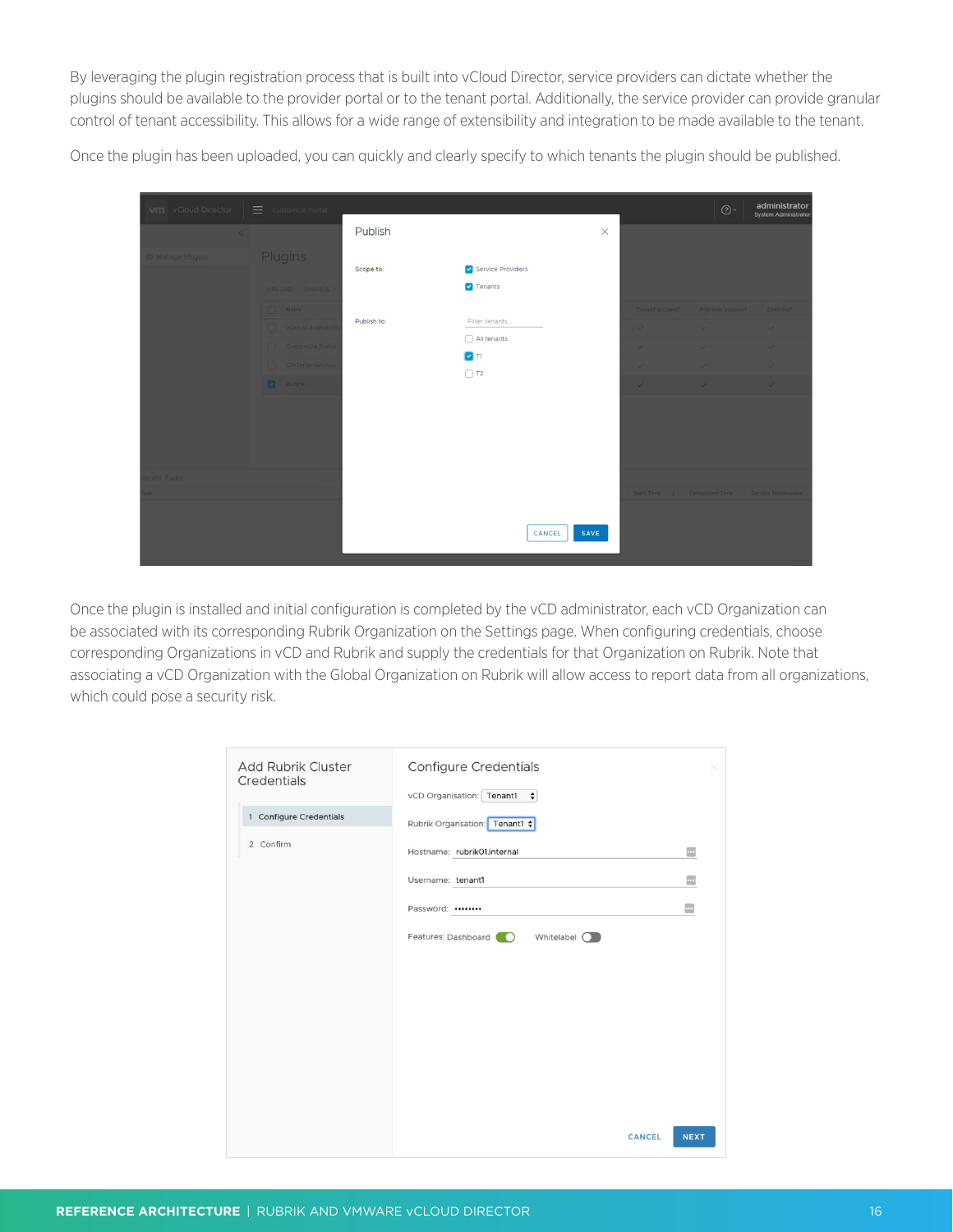By leveraging the plugin registration process that is built into vCloud Director, service providers can dictate whether the plugins should be available to the provider portal or to the tenant portal. Additionally, the service provider can provide granular control of tenant accessibility. This allows for a wide range of extensibility and integration to be made available to the tenant.

Once the plugin has been uploaded, you can quickly and clearly specify to which tenants the plugin should be published.

| <b>VIII</b> vCloud Director $\equiv$ Customize Portal |                                  |             |                                              |          |                | $\odot\,$                                        | administrator<br>System Administrator |
|-------------------------------------------------------|----------------------------------|-------------|----------------------------------------------|----------|----------------|--------------------------------------------------|---------------------------------------|
| $\ll$                                                 |                                  | Publish     |                                              | $\times$ |                |                                                  |                                       |
| Manage Plugins                                        | <b>Plugins</b><br>UPLOAD DISABLE | Scope to:   | Service Providers<br>$\triangledown$ Tenants |          |                |                                                  |                                       |
|                                                       | Name:                            | Publish to: |                                              |          | Tenant scoped? | Provider scoped?                                 | Enabled?                              |
|                                                       | <b>VCloud Availabilit</b>        |             | Filter tenants<br>All tenants                |          | $\mathcal{L}$  | $\sim$                                           | $\sim$                                |
|                                                       | Customize Portal                 |             | $\triangledown$ Ti                           |          | $\times$       | $\checkmark$                                     | $\checkmark$                          |
|                                                       | CPOM extension                   |             | $\Box$ T <sub>2</sub>                        |          | $\sqrt{}$      |                                                  | $\checkmark$                          |
|                                                       | Rubrik,                          |             |                                              |          | $\checkmark$   | $\checkmark$                                     | $\checkmark$                          |
|                                                       |                                  |             |                                              |          |                |                                                  |                                       |
| cent Tasks                                            |                                  |             |                                              |          |                |                                                  |                                       |
|                                                       |                                  |             | SAVE<br>CANCEL                               |          |                | Start Time: J. Completion Time Service Namespace |                                       |

Once the plugin is installed and initial configuration is completed by the vCD administrator, each vCD Organization can be associated with its corresponding Rubrik Organization on the Settings page. When configuring credentials, choose corresponding Organizations in vCD and Rubrik and supply the credentials for that Organization on Rubrik. Note that associating a vCD Organization with the Global Organization on Rubrik will allow access to report data from all organizations, which could pose a security risk.

| Add Rubrik Cluster<br>Credentials | Configure Credentials<br>vCD Organisation: Tenant1<br>÷ | ×           |
|-----------------------------------|---------------------------------------------------------|-------------|
| 1 Configure Credentials           | Rubrik Organsation: Tenant1 $\div$                      |             |
| 2 Confirm                         | Hostname: rubrik01.internal                             | $\cdots$    |
|                                   | Username: tenant1                                       | $\cdots$    |
|                                   | Password:                                               | $\cdots$    |
|                                   | Features: Dashboard<br>Whitelabel O<br>$\sqrt{2}$       |             |
|                                   |                                                         |             |
|                                   |                                                         |             |
|                                   |                                                         |             |
|                                   | <b>CANCEL</b>                                           | <b>NEXT</b> |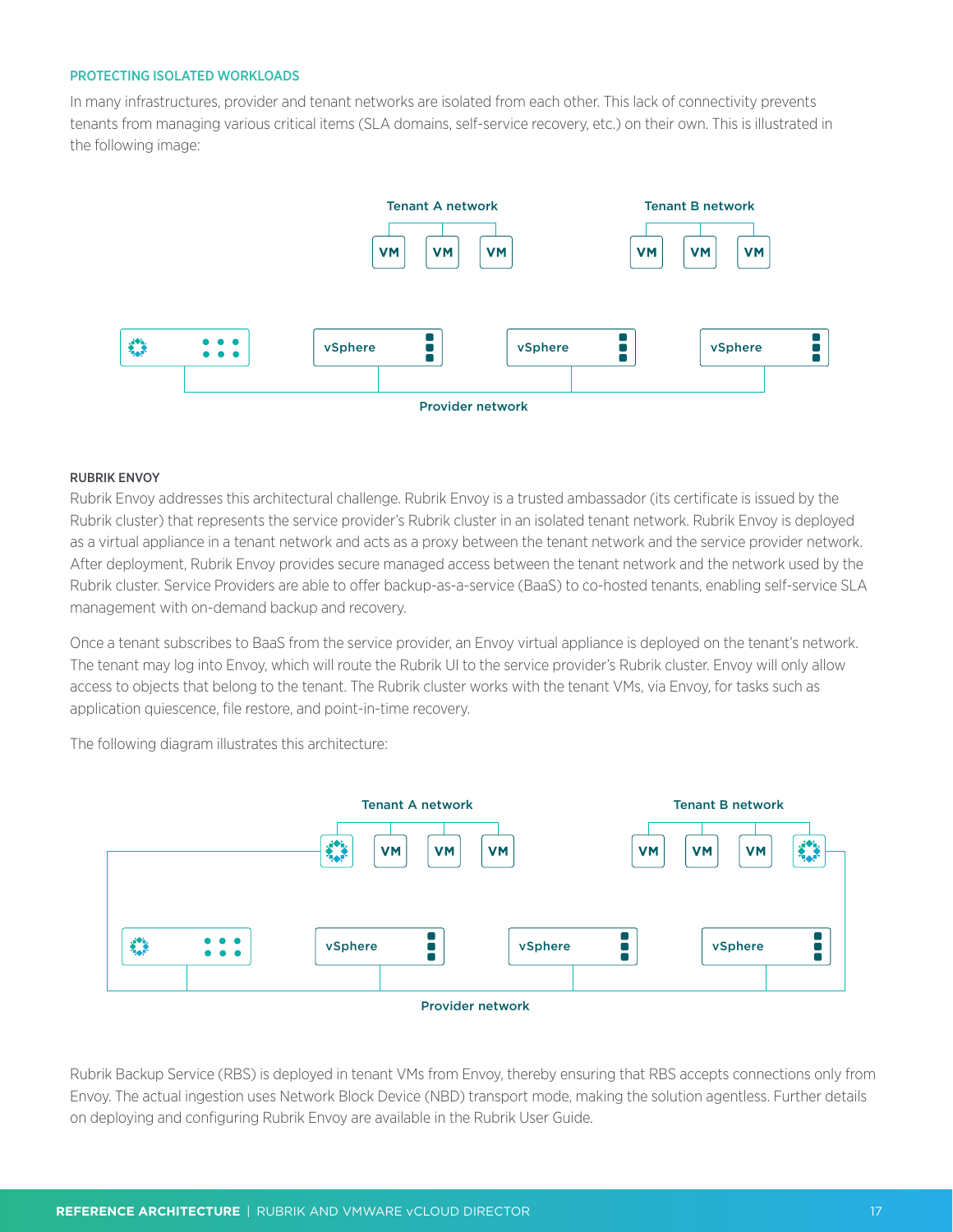#### <span id="page-16-0"></span>PROTECTING ISOLATED WORKLOADS

In many infrastructures, provider and tenant networks are isolated from each other. This lack of connectivity prevents tenants from managing various critical items (SLA domains, self-service recovery, etc.) on their own. This is illustrated in the following image:



#### RUBRIK ENVOY

Rubrik Envoy addresses this architectural challenge. Rubrik Envoy is a trusted ambassador (its certificate is issued by the Rubrik cluster) that represents the service provider's Rubrik cluster in an isolated tenant network. Rubrik Envoy is deployed as a virtual appliance in a tenant network and acts as a proxy between the tenant network and the service provider network. After deployment, Rubrik Envoy provides secure managed access between the tenant network and the network used by the Rubrik cluster. Service Providers are able to offer backup-as-a-service (BaaS) to co-hosted tenants, enabling self-service SLA management with on-demand backup and recovery.

Once a tenant subscribes to BaaS from the service provider, an Envoy virtual appliance is deployed on the tenant's network. The tenant may log into Envoy, which will route the Rubrik UI to the service provider's Rubrik cluster. Envoy will only allow access to objects that belong to the tenant. The Rubrik cluster works with the tenant VMs, via Envoy, for tasks such as application quiescence, file restore, and point-in-time recovery.

The following diagram illustrates this architecture:



Rubrik Backup Service (RBS) is deployed in tenant VMs from Envoy, thereby ensuring that RBS accepts connections only from Envoy. The actual ingestion uses Network Block Device (NBD) transport mode, making the solution agentless. Further details on deploying and configuring Rubrik Envoy are available in the Rubrik User Guide.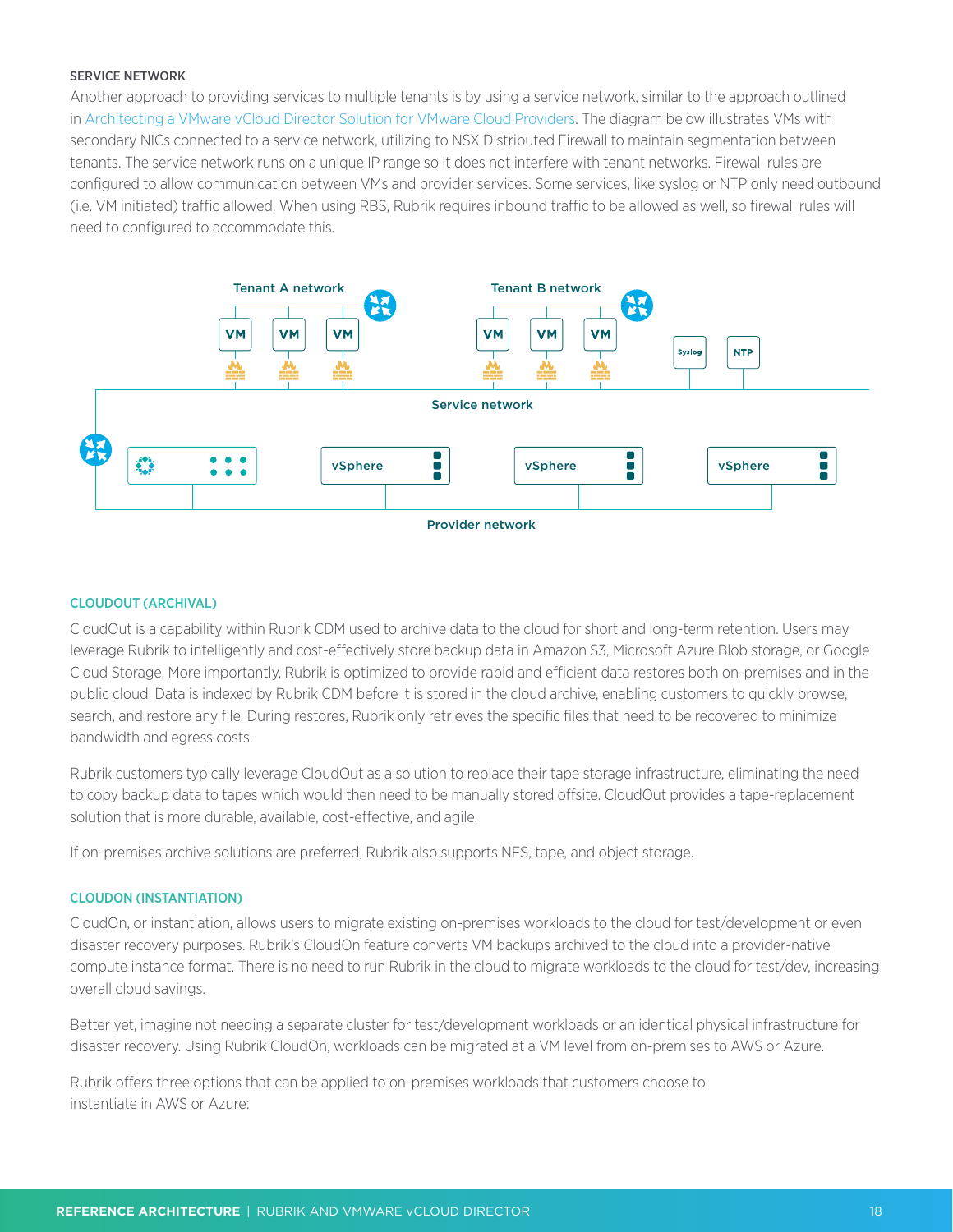#### <span id="page-17-0"></span>SERVICE NETWORK

Another approach to providing services to multiple tenants is by using a service network, similar to the approach outlined in [Architecting a VMware vCloud Director Solution for VMware Cloud Providers.](https://www.vmware.com/content/dam/digitalmarketing/vmware/en/pdf/vcat/vmware-architecting-a-vcloud-director-solution.pdf) The diagram below illustrates VMs with secondary NICs connected to a service network, utilizing to NSX Distributed Firewall to maintain segmentation between tenants. The service network runs on a unique IP range so it does not interfere with tenant networks. Firewall rules are configured to allow communication between VMs and provider services. Some services, like syslog or NTP only need outbound (i.e. VM initiated) traffic allowed. When using RBS, Rubrik requires inbound traffic to be allowed as well, so firewall rules will need to configured to accommodate this.



#### CLOUDOUT (ARCHIVAL)

CloudOut is a capability within Rubrik CDM used to archive data to the cloud for short and long-term retention. Users may leverage Rubrik to intelligently and cost-effectively store backup data in Amazon S3, Microsoft Azure Blob storage, or Google Cloud Storage. More importantly, Rubrik is optimized to provide rapid and efficient data restores both on-premises and in the public cloud. Data is indexed by Rubrik CDM before it is stored in the cloud archive, enabling customers to quickly browse, search, and restore any file. During restores, Rubrik only retrieves the specific files that need to be recovered to minimize bandwidth and egress costs.

Rubrik customers typically leverage CloudOut as a solution to replace their tape storage infrastructure, eliminating the need to copy backup data to tapes which would then need to be manually stored offsite. CloudOut provides a tape-replacement solution that is more durable, available, cost-effective, and agile.

If on-premises archive solutions are preferred, Rubrik also supports NFS, tape, and object storage.

#### CLOUDON (INSTANTIATION)

CloudOn, or instantiation, allows users to migrate existing on-premises workloads to the cloud for test/development or even disaster recovery purposes. Rubrik's CloudOn feature converts VM backups archived to the cloud into a provider-native compute instance format. There is no need to run Rubrik in the cloud to migrate workloads to the cloud for test/dev, increasing overall cloud savings.

Better yet, imagine not needing a separate cluster for test/development workloads or an identical physical infrastructure for disaster recovery. Using Rubrik CloudOn, workloads can be migrated at a VM level from on-premises to AWS or Azure.

Rubrik offers three options that can be applied to on-premises workloads that customers choose to instantiate in AWS or Azure: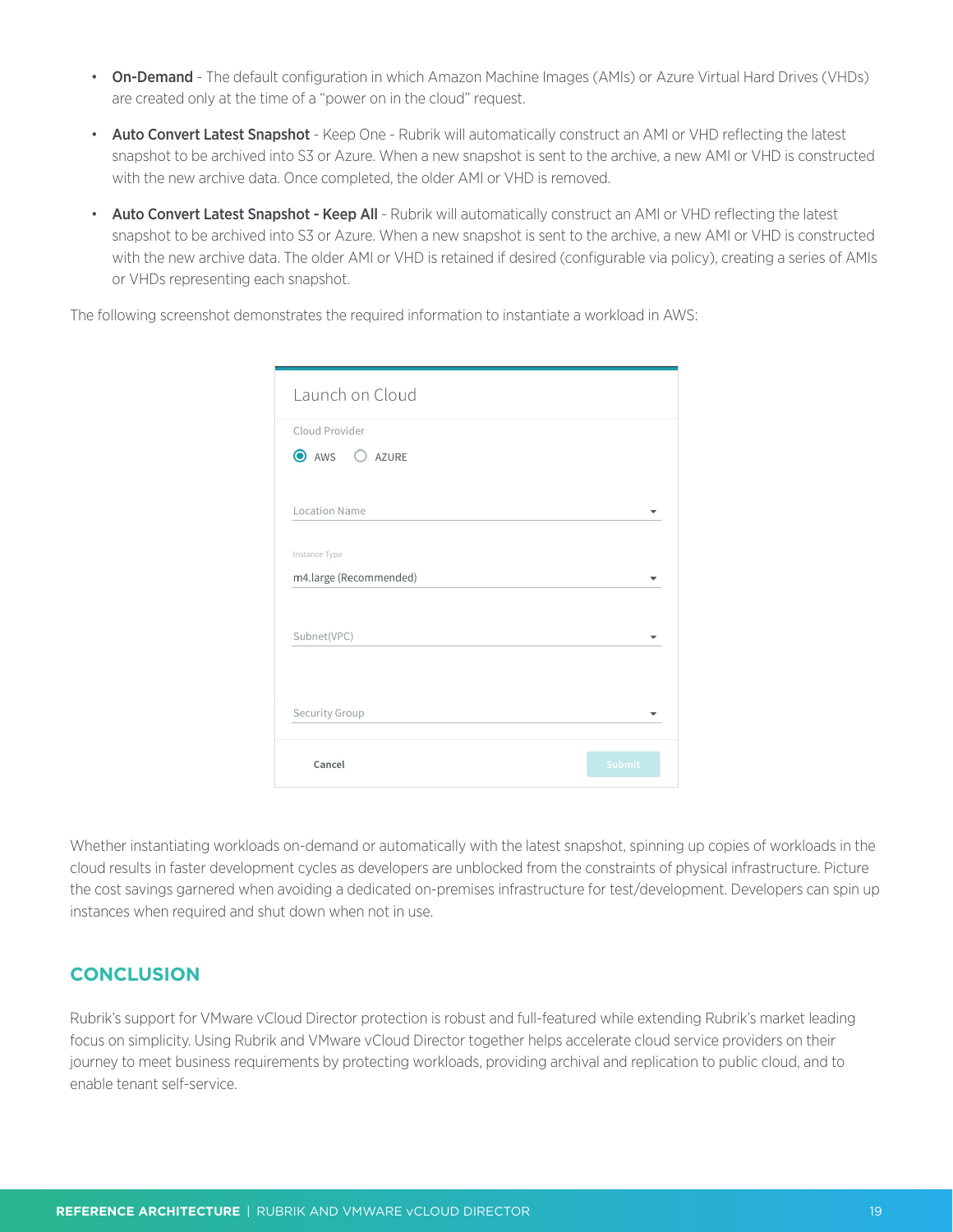- <span id="page-18-0"></span>• On-Demand - The default configuration in which Amazon Machine Images (AMIs) or Azure Virtual Hard Drives (VHDs) are created only at the time of a "power on in the cloud" request.
- Auto Convert Latest Snapshot Keep One Rubrik will automatically construct an AMI or VHD reflecting the latest snapshot to be archived into S3 or Azure. When a new snapshot is sent to the archive, a new AMI or VHD is constructed with the new archive data. Once completed, the older AMI or VHD is removed.
- Auto Convert Latest Snapshot Keep All Rubrik will automatically construct an AMI or VHD reflecting the latest snapshot to be archived into S3 or Azure. When a new snapshot is sent to the archive, a new AMI or VHD is constructed with the new archive data. The older AMI or VHD is retained if desired (configurable via policy), creating a series of AMIs or VHDs representing each snapshot.

The following screenshot demonstrates the required information to instantiate a workload in AWS:

| Launch on Cloud        |        |
|------------------------|--------|
| Cloud Provider         |        |
| AWS O AZURE            |        |
|                        |        |
| <b>Location Name</b>   |        |
| Instance Type          |        |
| m4.large (Recommended) |        |
|                        |        |
| Subnet(VPC)            |        |
|                        |        |
|                        |        |
| Security Group         |        |
|                        |        |
| Cancel                 | Submit |

Whether instantiating workloads on-demand or automatically with the latest snapshot, spinning up copies of workloads in the cloud results in faster development cycles as developers are unblocked from the constraints of physical infrastructure. Picture the cost savings garnered when avoiding a dedicated on-premises infrastructure for test/development. Developers can spin up instances when required and shut down when not in use.

# **CONCLUSION**

Rubrik's support for VMware vCloud Director protection is robust and full-featured while extending Rubrik's market leading focus on simplicity. Using Rubrik and VMware vCloud Director together helps accelerate cloud service providers on their journey to meet business requirements by protecting workloads, providing archival and replication to public cloud, and to enable tenant self-service.